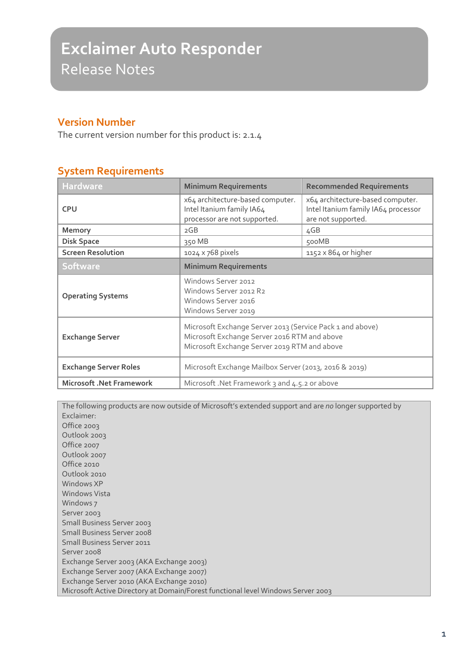## **Version Number**

The current version number for this product is: 2.1.4

## **System Requirements**

| <b>Hardware</b>                 | <b>Minimum Requirements</b>                                                                                                                               | <b>Recommended Requirements</b>                                                               |
|---------------------------------|-----------------------------------------------------------------------------------------------------------------------------------------------------------|-----------------------------------------------------------------------------------------------|
| <b>CPU</b>                      | x64 architecture-based computer.<br>Intel Itanium family IA64<br>processor are not supported.                                                             | x64 architecture-based computer.<br>Intel Itanium family IA64 processor<br>are not supported. |
| <b>Memory</b>                   | 2GB                                                                                                                                                       | 4GB                                                                                           |
| <b>Disk Space</b>               | 350 MB                                                                                                                                                    | 500MB                                                                                         |
| <b>Screen Resolution</b>        | 1024 x 768 pixels                                                                                                                                         | $1152 \times 864$ or higher                                                                   |
| <b>Software</b>                 | <b>Minimum Requirements</b>                                                                                                                               |                                                                                               |
| <b>Operating Systems</b>        | Windows Server 2012<br>Windows Server 2012 R2<br>Windows Server 2016<br>Windows Server 2019                                                               |                                                                                               |
| <b>Exchange Server</b>          | Microsoft Exchange Server 2013 (Service Pack 1 and above)<br>Microsoft Exchange Server 2016 RTM and above<br>Microsoft Exchange Server 2019 RTM and above |                                                                                               |
| <b>Exchange Server Roles</b>    | Microsoft Exchange Mailbox Server (2013, 2016 & 2019)                                                                                                     |                                                                                               |
| <b>Microsoft .Net Framework</b> | Microsoft .Net Framework 3 and 4.5.2 or above                                                                                                             |                                                                                               |

The following products are now outside of Microsoft's extended support and are *no* longer supported by Exclaimer: Office 2003 Outlook 2003 Office 2007 Outlook 2007 Office 2010 Outlook 2010 Windows XP Windows Vista Windows 7 Server 2003 Small Business Server 2003 Small Business Server 2008 Small Business Server 2011 Server 2008 Exchange Server 2003 (AKA Exchange 2003) Exchange Server 2007 (AKA Exchange 2007) Exchange Server 2010 (AKA Exchange 2010) Microsoft Active Directory at Domain/Forest functional level Windows Server 2003